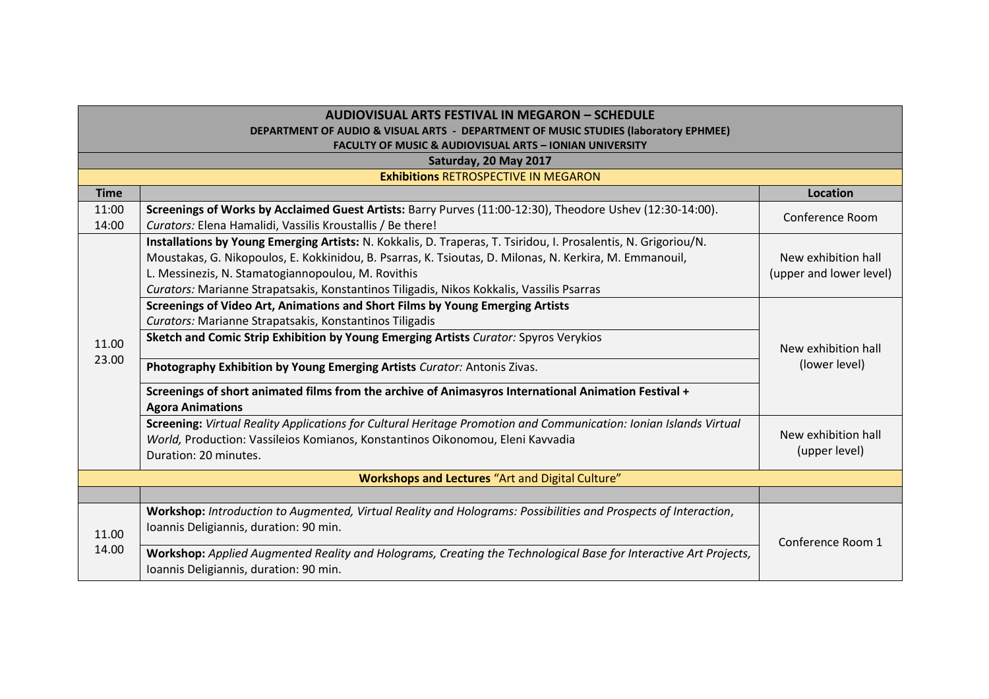| <b>AUDIOVISUAL ARTS FESTIVAL IN MEGARON - SCHEDULE</b>                              |                                                                                                                   |                                      |  |  |
|-------------------------------------------------------------------------------------|-------------------------------------------------------------------------------------------------------------------|--------------------------------------|--|--|
| DEPARTMENT OF AUDIO & VISUAL ARTS - DEPARTMENT OF MUSIC STUDIES (laboratory EPHMEE) |                                                                                                                   |                                      |  |  |
| <b>FACULTY OF MUSIC &amp; AUDIOVISUAL ARTS - IONIAN UNIVERSITY</b>                  |                                                                                                                   |                                      |  |  |
|                                                                                     | Saturday, 20 May 2017                                                                                             |                                      |  |  |
|                                                                                     | <b>Exhibitions RETROSPECTIVE IN MEGARON</b>                                                                       |                                      |  |  |
| <b>Time</b>                                                                         |                                                                                                                   | <b>Location</b>                      |  |  |
| 11:00                                                                               | Screenings of Works by Acclaimed Guest Artists: Barry Purves (11:00-12:30), Theodore Ushev (12:30-14:00).         | Conference Room                      |  |  |
| 14:00                                                                               | Curators: Elena Hamalidi, Vassilis Kroustallis / Be there!                                                        |                                      |  |  |
|                                                                                     | Installations by Young Emerging Artists: N. Kokkalis, D. Traperas, T. Tsiridou, I. Prosalentis, N. Grigoriou/N.   |                                      |  |  |
|                                                                                     | Moustakas, G. Nikopoulos, E. Kokkinidou, B. Psarras, K. Tsioutas, D. Milonas, N. Kerkira, M. Emmanouil,           | New exhibition hall                  |  |  |
|                                                                                     | L. Messinezis, N. Stamatogiannopoulou, M. Rovithis                                                                | (upper and lower level)              |  |  |
|                                                                                     | Curators: Marianne Strapatsakis, Konstantinos Tiligadis, Nikos Kokkalis, Vassilis Psarras                         |                                      |  |  |
|                                                                                     | Screenings of Video Art, Animations and Short Films by Young Emerging Artists                                     | New exhibition hall<br>(lower level) |  |  |
|                                                                                     | Curators: Marianne Strapatsakis, Konstantinos Tiligadis                                                           |                                      |  |  |
| 11.00                                                                               | Sketch and Comic Strip Exhibition by Young Emerging Artists Curator: Spyros Verykios                              |                                      |  |  |
| 23.00                                                                               |                                                                                                                   |                                      |  |  |
|                                                                                     | Photography Exhibition by Young Emerging Artists Curator: Antonis Zivas.                                          |                                      |  |  |
|                                                                                     | Screenings of short animated films from the archive of Animasyros International Animation Festival +              |                                      |  |  |
|                                                                                     | <b>Agora Animations</b>                                                                                           |                                      |  |  |
|                                                                                     | Screening: Virtual Reality Applications for Cultural Heritage Promotion and Communication: Ionian Islands Virtual |                                      |  |  |
|                                                                                     | World, Production: Vassileios Komianos, Konstantinos Oikonomou, Eleni Kavvadia                                    | New exhibition hall                  |  |  |
|                                                                                     | Duration: 20 minutes.                                                                                             | (upper level)                        |  |  |
| <b>Workshops and Lectures</b> "Art and Digital Culture"                             |                                                                                                                   |                                      |  |  |
|                                                                                     |                                                                                                                   |                                      |  |  |
|                                                                                     | Workshop: Introduction to Augmented, Virtual Reality and Holograms: Possibilities and Prospects of Interaction,   |                                      |  |  |
|                                                                                     | Ioannis Deligiannis, duration: 90 min.                                                                            |                                      |  |  |
| 11.00<br>14.00                                                                      |                                                                                                                   | Conference Room 1                    |  |  |
|                                                                                     | Workshop: Applied Augmented Reality and Holograms, Creating the Technological Base for Interactive Art Projects,  |                                      |  |  |
|                                                                                     | Ioannis Deligiannis, duration: 90 min.                                                                            |                                      |  |  |
|                                                                                     |                                                                                                                   |                                      |  |  |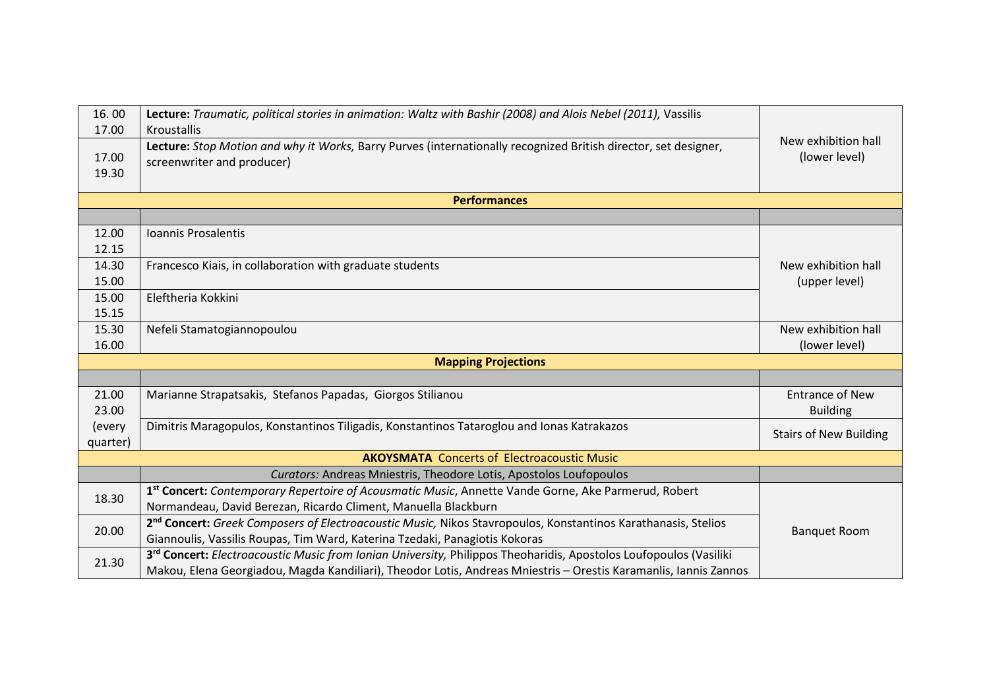| 16.00<br>17.00             | Lecture: Traumatic, political stories in animation: Waltz with Bashir (2008) and Alois Nebel (2011), Vassilis<br>Kroustallis                  | New exhibition hall           |  |  |
|----------------------------|-----------------------------------------------------------------------------------------------------------------------------------------------|-------------------------------|--|--|
| 17.00<br>19.30             | Lecture: Stop Motion and why it Works, Barry Purves (internationally recognized British director, set designer,<br>screenwriter and producer) | (lower level)                 |  |  |
| <b>Performances</b>        |                                                                                                                                               |                               |  |  |
|                            |                                                                                                                                               |                               |  |  |
| 12.00                      | Ioannis Prosalentis                                                                                                                           |                               |  |  |
| 12.15                      |                                                                                                                                               |                               |  |  |
| 14.30                      | Francesco Kiais, in collaboration with graduate students                                                                                      | New exhibition hall           |  |  |
| 15.00                      |                                                                                                                                               | (upper level)                 |  |  |
| 15.00                      | Eleftheria Kokkini                                                                                                                            |                               |  |  |
| 15.15                      |                                                                                                                                               |                               |  |  |
| 15.30                      | Nefeli Stamatogiannopoulou                                                                                                                    | New exhibition hall           |  |  |
| 16.00                      |                                                                                                                                               | (lower level)                 |  |  |
| <b>Mapping Projections</b> |                                                                                                                                               |                               |  |  |
|                            |                                                                                                                                               |                               |  |  |
| 21.00                      | Marianne Strapatsakis, Stefanos Papadas, Giorgos Stilianou                                                                                    | <b>Entrance of New</b>        |  |  |
| 23.00                      |                                                                                                                                               | <b>Building</b>               |  |  |
| (every                     | Dimitris Maragopulos, Konstantinos Tiligadis, Konstantinos Tataroglou and Ionas Katrakazos                                                    | <b>Stairs of New Building</b> |  |  |
| quarter)                   |                                                                                                                                               |                               |  |  |
|                            | <b>AKOYSMATA</b> Concerts of Electroacoustic Music                                                                                            |                               |  |  |
|                            | Curators: Andreas Mniestris, Theodore Lotis, Apostolos Loufopoulos                                                                            |                               |  |  |
| 18.30                      | 1st Concert: Contemporary Repertoire of Acousmatic Music, Annette Vande Gorne, Ake Parmerud, Robert                                           |                               |  |  |
|                            | Normandeau, David Berezan, Ricardo Climent, Manuella Blackburn                                                                                | <b>Banquet Room</b>           |  |  |
| 20.00                      | 2 <sup>nd</sup> Concert: Greek Composers of Electroacoustic Music, Nikos Stavropoulos, Konstantinos Karathanasis, Stelios                     |                               |  |  |
|                            | Giannoulis, Vassilis Roupas, Tim Ward, Katerina Tzedaki, Panagiotis Kokoras                                                                   |                               |  |  |
| 21.30                      | 3 <sup>rd</sup> Concert: Electroacoustic Music from Ionian University, Philippos Theoharidis, Apostolos Loufopoulos (Vasiliki                 |                               |  |  |
|                            | Makou, Elena Georgiadou, Magda Kandiliari), Theodor Lotis, Andreas Mniestris - Orestis Karamanlis, Iannis Zannos                              |                               |  |  |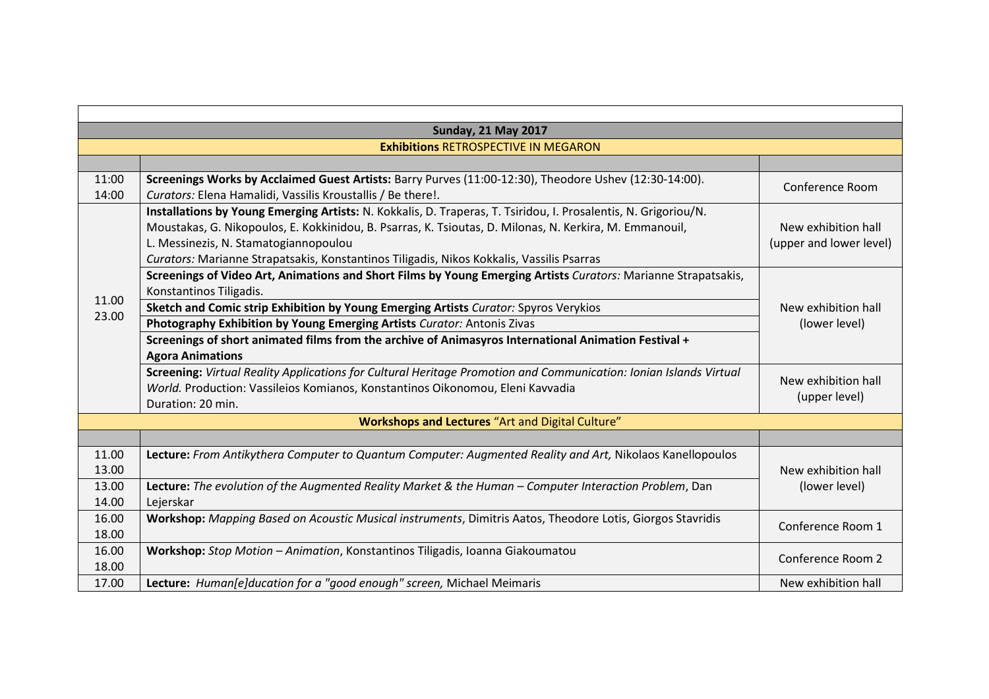| <b>Sunday, 21 May 2017</b>                       |                                                                                                                   |                                      |  |  |
|--------------------------------------------------|-------------------------------------------------------------------------------------------------------------------|--------------------------------------|--|--|
| <b>Exhibitions RETROSPECTIVE IN MEGARON</b>      |                                                                                                                   |                                      |  |  |
|                                                  |                                                                                                                   |                                      |  |  |
| 11:00                                            | Screenings Works by Acclaimed Guest Artists: Barry Purves (11:00-12:30), Theodore Ushev (12:30-14:00).            | Conference Room                      |  |  |
| 14:00                                            | Curators: Elena Hamalidi, Vassilis Kroustallis / Be there!.                                                       |                                      |  |  |
|                                                  | Installations by Young Emerging Artists: N. Kokkalis, D. Traperas, T. Tsiridou, I. Prosalentis, N. Grigoriou/N.   |                                      |  |  |
|                                                  | Moustakas, G. Nikopoulos, E. Kokkinidou, B. Psarras, K. Tsioutas, D. Milonas, N. Kerkira, M. Emmanouil,           | New exhibition hall                  |  |  |
|                                                  | L. Messinezis, N. Stamatogiannopoulou                                                                             | (upper and lower level)              |  |  |
|                                                  | Curators: Marianne Strapatsakis, Konstantinos Tiligadis, Nikos Kokkalis, Vassilis Psarras                         |                                      |  |  |
|                                                  | Screenings of Video Art, Animations and Short Films by Young Emerging Artists Curators: Marianne Strapatsakis,    |                                      |  |  |
| 11.00                                            | Konstantinos Tiligadis.                                                                                           | New exhibition hall<br>(lower level) |  |  |
| 23.00                                            | Sketch and Comic strip Exhibition by Young Emerging Artists Curator: Spyros Verykios                              |                                      |  |  |
|                                                  | Photography Exhibition by Young Emerging Artists Curator: Antonis Zivas                                           |                                      |  |  |
|                                                  | Screenings of short animated films from the archive of Animasyros International Animation Festival +              |                                      |  |  |
|                                                  | <b>Agora Animations</b>                                                                                           |                                      |  |  |
|                                                  | Screening: Virtual Reality Applications for Cultural Heritage Promotion and Communication: Ionian Islands Virtual |                                      |  |  |
|                                                  | World. Production: Vassileios Komianos, Konstantinos Oikonomou, Eleni Kavvadia                                    | New exhibition hall<br>(upper level) |  |  |
|                                                  | Duration: 20 min.                                                                                                 |                                      |  |  |
| Workshops and Lectures "Art and Digital Culture" |                                                                                                                   |                                      |  |  |
|                                                  |                                                                                                                   |                                      |  |  |
| 11.00                                            | Lecture: From Antikythera Computer to Quantum Computer: Augmented Reality and Art, Nikolaos Kanellopoulos         |                                      |  |  |
| 13.00                                            |                                                                                                                   | New exhibition hall<br>(lower level) |  |  |
| 13.00                                            | Lecture: The evolution of the Augmented Reality Market & the Human - Computer Interaction Problem, Dan            |                                      |  |  |
| 14.00                                            | Lejerskar                                                                                                         |                                      |  |  |
| 16.00                                            | Workshop: Mapping Based on Acoustic Musical instruments, Dimitris Aatos, Theodore Lotis, Giorgos Stavridis        |                                      |  |  |
| 18.00                                            |                                                                                                                   | Conference Room 1                    |  |  |
| 16.00                                            | Workshop: Stop Motion - Animation, Konstantinos Tiligadis, Ioanna Giakoumatou                                     | Conference Room 2                    |  |  |
| 18.00                                            |                                                                                                                   |                                      |  |  |
| 17.00                                            | Lecture: Human[e]ducation for a "good enough" screen, Michael Meimaris                                            | New exhibition hall                  |  |  |